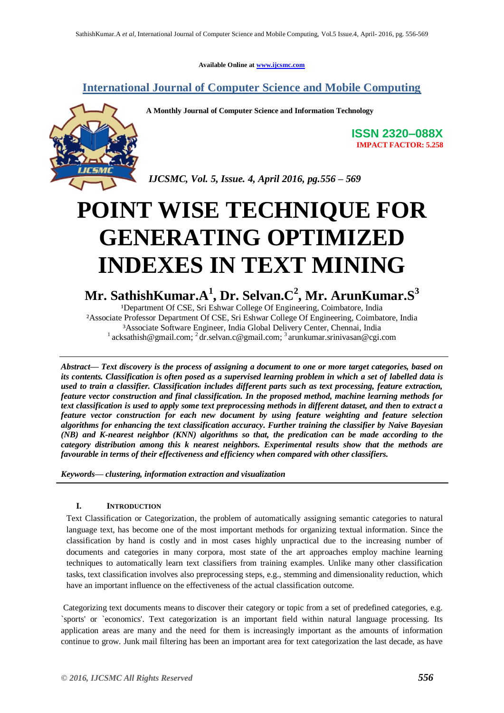**Available Online at www.ijcsmc.com**

# **International Journal of Computer Science and Mobile Computing**



**A Monthly Journal of Computer Science and Information Technology**

**ISSN 2320–088X IMPACT FACTOR: 5.258**

*IJCSMC, Vol. 5, Issue. 4, April 2016, pg.556 – 569*

# **POINT WISE TECHNIQUE FOR GENERATING OPTIMIZED INDEXES IN TEXT MINING**

# **Mr. SathishKumar.A<sup>1</sup> , Dr. Selvan.C<sup>2</sup> , Mr. ArunKumar.S<sup>3</sup>**

<sup>1</sup>Department Of CSE, Sri Eshwar College Of Engineering, Coimbatore, India ²Associate Professor Department Of CSE, Sri Eshwar College Of Engineering, Coimbatore, India ³Associate Software Engineer, India Global Delivery Center, Chennai, India <sup>1</sup> acksathish@gmail.com; <sup>2</sup> dr.selvan.c@gmail.com; <sup>3</sup> arunkumar.srinivasan@cgi.com

*Abstract— Text discovery is the process of assigning a document to one or more target categories, based on its contents. Classification is often posed as a supervised learning problem in which a set of labelled data is used to train a classifier. Classification includes different parts such as text processing, feature extraction, feature vector construction and final classification. In the proposed method, machine learning methods for text classification is used to apply some text preprocessing methods in different dataset, and then to extract a feature vector construction for each new document by using feature weighting and feature selection algorithms for enhancing the text classification accuracy. Further training the classifier by Naive Bayesian (NB) and K-nearest neighbor (KNN) algorithms so that, the predication can be made according to the category distribution among this k nearest neighbors. Experimental results show that the methods are favourable in terms of their effectiveness and efficiency when compared with other classifiers.*

*Keywords— clustering, information extraction and visualization*

# **I. INTRODUCTION**

Text Classification or Categorization, the problem of automatically assigning semantic categories to natural language text, has become one of the most important methods for organizing textual information. Since the classification by hand is costly and in most cases highly unpractical due to the increasing number of documents and categories in many corpora, most state of the art approaches employ machine learning techniques to automatically learn text classifiers from training examples. Unlike many other classification tasks, text classification involves also preprocessing steps, e.g., stemming and dimensionality reduction, which have an important influence on the effectiveness of the actual classification outcome.

Categorizing text documents means to discover their category or topic from a set of predefined categories, e.g. `sports' or `economics'. Text categorization is an important field within natural language processing. Its application areas are many and the need for them is increasingly important as the amounts of information continue to grow. Junk mail filtering has been an important area for text categorization the last decade, as have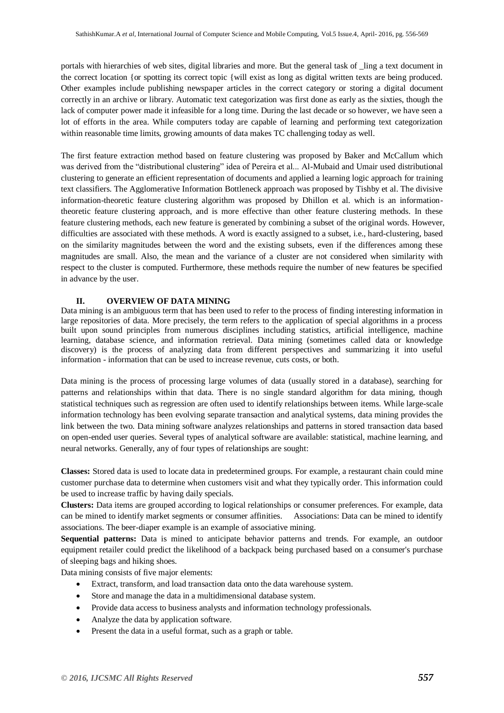portals with hierarchies of web sites, digital libraries and more. But the general task of \_ling a text document in the correct location {or spotting its correct topic {will exist as long as digital written texts are being produced. Other examples include publishing newspaper articles in the correct category or storing a digital document correctly in an archive or library. Automatic text categorization was first done as early as the sixties, though the lack of computer power made it infeasible for a long time. During the last decade or so however, we have seen a lot of efforts in the area. While computers today are capable of learning and performing text categorization within reasonable time limits, growing amounts of data makes TC challenging today as well.

The first feature extraction method based on feature clustering was proposed by Baker and McCallum which was derived from the "distributional clustering" idea of Pereira et al... Al-Mubaid and Umair used distributional clustering to generate an efficient representation of documents and applied a learning logic approach for training text classifiers. The Agglomerative Information Bottleneck approach was proposed by Tishby et al. The divisive information-theoretic feature clustering algorithm was proposed by Dhillon et al. which is an informationtheoretic feature clustering approach, and is more effective than other feature clustering methods. In these feature clustering methods, each new feature is generated by combining a subset of the original words. However, difficulties are associated with these methods. A word is exactly assigned to a subset, i.e., hard-clustering, based on the similarity magnitudes between the word and the existing subsets, even if the differences among these magnitudes are small. Also, the mean and the variance of a cluster are not considered when similarity with respect to the cluster is computed. Furthermore, these methods require the number of new features be specified in advance by the user.

# **II. OVERVIEW OF DATA MINING**

Data mining is an ambiguous term that has been used to refer to the process of finding interesting information in large repositories of data. More precisely, the term refers to the application of special algorithms in a process built upon sound principles from numerous disciplines including statistics, artificial intelligence, machine learning, database science, and information retrieval. Data mining (sometimes called data or knowledge discovery) is the process of analyzing data from different perspectives and summarizing it into useful information - information that can be used to increase revenue, cuts costs, or both.

Data mining is the process of processing large volumes of data (usually stored in a database), searching for patterns and relationships within that data. There is no single standard algorithm for data mining, though statistical techniques such as regression are often used to identify relationships between items. While large-scale information technology has been evolving separate transaction and analytical systems, data mining provides the link between the two. Data mining software analyzes relationships and patterns in stored transaction data based on open-ended user queries. Several types of analytical software are available: statistical, machine learning, and neural networks. Generally, any of four types of relationships are sought:

**Classes:** Stored data is used to locate data in predetermined groups. For example, a restaurant chain could mine customer purchase data to determine when customers visit and what they typically order. This information could be used to increase traffic by having daily specials.

**Clusters:** Data items are grouped according to logical relationships or consumer preferences. For example, data can be mined to identify market segments or consumer affinities. Associations: Data can be mined to identify associations. The beer-diaper example is an example of associative mining.

**Sequential patterns:** Data is mined to anticipate behavior patterns and trends. For example, an outdoor equipment retailer could predict the likelihood of a backpack being purchased based on a consumer's purchase of sleeping bags and hiking shoes.

Data mining consists of five major elements:

- Extract, transform, and load transaction data onto the data warehouse system.
- Store and manage the data in a multidimensional database system.
- Provide data access to business analysts and information technology professionals.
- Analyze the data by application software.
- Present the data in a useful format, such as a graph or table.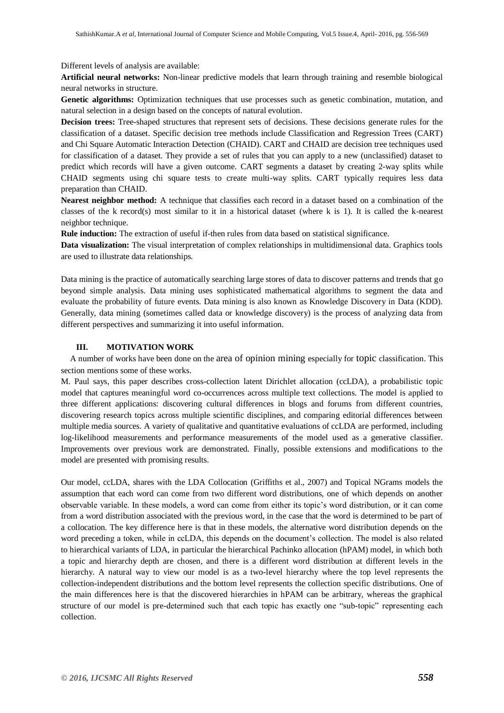Different levels of analysis are available:

**Artificial neural networks:** Non-linear predictive models that learn through training and resemble biological neural networks in structure.

**Genetic algorithms:** Optimization techniques that use processes such as genetic combination, mutation, and natural selection in a design based on the concepts of natural evolution.

**Decision trees:** Tree-shaped structures that represent sets of decisions. These decisions generate rules for the classification of a dataset. Specific decision tree methods include Classification and Regression Trees (CART) and Chi Square Automatic Interaction Detection (CHAID). CART and CHAID are decision tree techniques used for classification of a dataset. They provide a set of rules that you can apply to a new (unclassified) dataset to predict which records will have a given outcome. CART segments a dataset by creating 2-way splits while CHAID segments using chi square tests to create multi-way splits. CART typically requires less data preparation than CHAID.

**Nearest neighbor method:** A technique that classifies each record in a dataset based on a combination of the classes of the k record(s) most similar to it in a historical dataset (where k is 1). It is called the k-nearest neighbor technique.

**Rule induction:** The extraction of useful if-then rules from data based on statistical significance.

**Data visualization:** The visual interpretation of complex relationships in multidimensional data. Graphics tools are used to illustrate data relationships.

Data mining is the practice of automatically searching large stores of data to discover patterns and trends that go beyond simple analysis. Data mining uses sophisticated mathematical algorithms to segment the data and evaluate the probability of future events. Data mining is also known as Knowledge Discovery in Data (KDD). Generally, data mining (sometimes called data or knowledge discovery) is the process of analyzing data from different perspectives and summarizing it into useful information.

# **III. MOTIVATION WORK**

A number of works have been done on the area of opinion mining especially for topic classification. This section mentions some of these works.

M. Paul says, this paper describes cross-collection latent Dirichlet allocation (ccLDA), a probabilistic topic model that captures meaningful word co-occurrences across multiple text collections. The model is applied to three different applications: discovering cultural differences in blogs and forums from different countries, discovering research topics across multiple scientific disciplines, and comparing editorial differences between multiple media sources. A variety of qualitative and quantitative evaluations of ccLDA are performed, including log-likelihood measurements and performance measurements of the model used as a generative classifier. Improvements over previous work are demonstrated. Finally, possible extensions and modifications to the model are presented with promising results.

Our model, ccLDA, shares with the LDA Collocation (Griffiths et al., 2007) and Topical NGrams models the assumption that each word can come from two different word distributions, one of which depends on another observable variable. In these models, a word can come from either its topic's word distribution, or it can come from a word distribution associated with the previous word, in the case that the word is determined to be part of a collocation. The key difference here is that in these models, the alternative word distribution depends on the word preceding a token, while in ccLDA, this depends on the document's collection. The model is also related to hierarchical variants of LDA, in particular the hierarchical Pachinko allocation (hPAM) model, in which both a topic and hierarchy depth are chosen, and there is a different word distribution at different levels in the hierarchy. A natural way to view our model is as a two-level hierarchy where the top level represents the collection-independent distributions and the bottom level represents the collection specific distributions. One of the main differences here is that the discovered hierarchies in hPAM can be arbitrary, whereas the graphical structure of our model is pre-determined such that each topic has exactly one "sub-topic" representing each collection.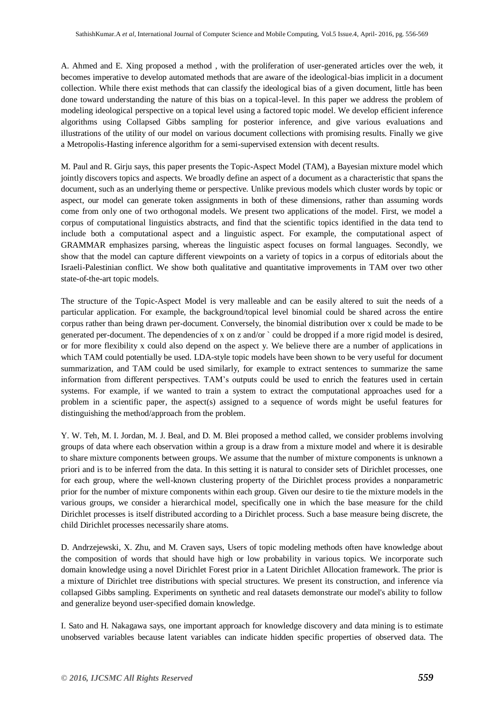A. Ahmed and E. Xing proposed a method , with the proliferation of user-generated articles over the web, it becomes imperative to develop automated methods that are aware of the ideological-bias implicit in a document collection. While there exist methods that can classify the ideological bias of a given document, little has been done toward understanding the nature of this bias on a topical-level. In this paper we address the problem of modeling ideological perspective on a topical level using a factored topic model. We develop efficient inference algorithms using Collapsed Gibbs sampling for posterior inference, and give various evaluations and illustrations of the utility of our model on various document collections with promising results. Finally we give a Metropolis-Hasting inference algorithm for a semi-supervised extension with decent results.

M. Paul and R. Girju says, this paper presents the Topic-Aspect Model (TAM), a Bayesian mixture model which jointly discovers topics and aspects. We broadly define an aspect of a document as a characteristic that spans the document, such as an underlying theme or perspective. Unlike previous models which cluster words by topic or aspect, our model can generate token assignments in both of these dimensions, rather than assuming words come from only one of two orthogonal models. We present two applications of the model. First, we model a corpus of computational linguistics abstracts, and find that the scientific topics identified in the data tend to include both a computational aspect and a linguistic aspect. For example, the computational aspect of GRAMMAR emphasizes parsing, whereas the linguistic aspect focuses on formal languages. Secondly, we show that the model can capture different viewpoints on a variety of topics in a corpus of editorials about the Israeli-Palestinian conflict. We show both qualitative and quantitative improvements in TAM over two other state-of-the-art topic models.

The structure of the Topic-Aspect Model is very malleable and can be easily altered to suit the needs of a particular application. For example, the background/topical level binomial could be shared across the entire corpus rather than being drawn per-document. Conversely, the binomial distribution over x could be made to be generated per-document. The dependencies of x on z and/or ` could be dropped if a more rigid model is desired, or for more flexibility x could also depend on the aspect y. We believe there are a number of applications in which TAM could potentially be used. LDA-style topic models have been shown to be very useful for document summarization, and TAM could be used similarly, for example to extract sentences to summarize the same information from different perspectives. TAM's outputs could be used to enrich the features used in certain systems. For example, if we wanted to train a system to extract the computational approaches used for a problem in a scientific paper, the aspect(s) assigned to a sequence of words might be useful features for distinguishing the method/approach from the problem.

Y. W. Teh, M. I. Jordan, M. J. Beal, and D. M. Blei proposed a method called, we consider problems involving groups of data where each observation within a group is a draw from a mixture model and where it is desirable to share mixture components between groups. We assume that the number of mixture components is unknown a priori and is to be inferred from the data. In this setting it is natural to consider sets of Dirichlet processes, one for each group, where the well-known clustering property of the Dirichlet process provides a nonparametric prior for the number of mixture components within each group. Given our desire to tie the mixture models in the various groups, we consider a hierarchical model, specifically one in which the base measure for the child Dirichlet processes is itself distributed according to a Dirichlet process. Such a base measure being discrete, the child Dirichlet processes necessarily share atoms.

D. Andrzejewski, X. Zhu, and M. Craven says, Users of topic modeling methods often have knowledge about the composition of words that should have high or low probability in various topics. We incorporate such domain knowledge using a novel Dirichlet Forest prior in a Latent Dirichlet Allocation framework. The prior is a mixture of Dirichlet tree distributions with special structures. We present its construction, and inference via collapsed Gibbs sampling. Experiments on synthetic and real datasets demonstrate our model's ability to follow and generalize beyond user-specified domain knowledge.

I. Sato and H. Nakagawa says, one important approach for knowledge discovery and data mining is to estimate unobserved variables because latent variables can indicate hidden specific properties of observed data. The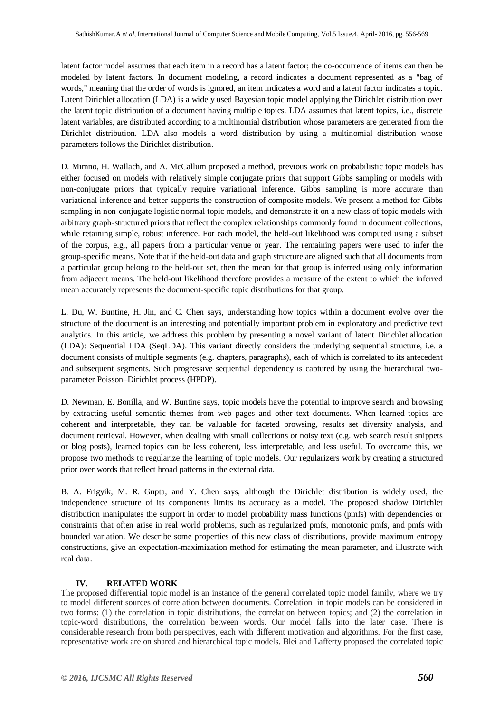latent factor model assumes that each item in a record has a latent factor; the co-occurrence of items can then be modeled by latent factors. In document modeling, a record indicates a document represented as a "bag of words," meaning that the order of words is ignored, an item indicates a word and a latent factor indicates a topic. Latent Dirichlet allocation (LDA) is a widely used Bayesian topic model applying the Dirichlet distribution over the latent topic distribution of a document having multiple topics. LDA assumes that latent topics, i.e., discrete latent variables, are distributed according to a multinomial distribution whose parameters are generated from the Dirichlet distribution. LDA also models a word distribution by using a multinomial distribution whose parameters follows the Dirichlet distribution.

D. Mimno, H. Wallach, and A. McCallum proposed a method, previous work on probabilistic topic models has either focused on models with relatively simple conjugate priors that support Gibbs sampling or models with non-conjugate priors that typically require variational inference. Gibbs sampling is more accurate than variational inference and better supports the construction of composite models. We present a method for Gibbs sampling in non-conjugate logistic normal topic models, and demonstrate it on a new class of topic models with arbitrary graph-structured priors that reflect the complex relationships commonly found in document collections, while retaining simple, robust inference. For each model, the held-out likelihood was computed using a subset of the corpus, e.g., all papers from a particular venue or year. The remaining papers were used to infer the group-specific means. Note that if the held-out data and graph structure are aligned such that all documents from a particular group belong to the held-out set, then the mean for that group is inferred using only information from adjacent means. The held-out likelihood therefore provides a measure of the extent to which the inferred mean accurately represents the document-specific topic distributions for that group.

L. Du, W. Buntine, H. Jin, and C. Chen says, understanding how topics within a document evolve over the structure of the document is an interesting and potentially important problem in exploratory and predictive text analytics. In this article, we address this problem by presenting a novel variant of latent Dirichlet allocation (LDA): Sequential LDA (SeqLDA). This variant directly considers the underlying sequential structure, i.e. a document consists of multiple segments (e.g. chapters, paragraphs), each of which is correlated to its antecedent and subsequent segments. Such progressive sequential dependency is captured by using the hierarchical twoparameter Poisson–Dirichlet process (HPDP).

D. Newman, E. Bonilla, and W. Buntine says, topic models have the potential to improve search and browsing by extracting useful semantic themes from web pages and other text documents. When learned topics are coherent and interpretable, they can be valuable for faceted browsing, results set diversity analysis, and document retrieval. However, when dealing with small collections or noisy text (e.g. web search result snippets or blog posts), learned topics can be less coherent, less interpretable, and less useful. To overcome this, we propose two methods to regularize the learning of topic models. Our regularizers work by creating a structured prior over words that reflect broad patterns in the external data.

B. A. Frigyik, M. R. Gupta, and Y. Chen says, although the Dirichlet distribution is widely used, the independence structure of its components limits its accuracy as a model. The proposed shadow Dirichlet distribution manipulates the support in order to model probability mass functions (pmfs) with dependencies or constraints that often arise in real world problems, such as regularized pmfs, monotonic pmfs, and pmfs with bounded variation. We describe some properties of this new class of distributions, provide maximum entropy constructions, give an expectation-maximization method for estimating the mean parameter, and illustrate with real data.

# **IV. RELATED WORK**

The proposed differential topic model is an instance of the general correlated topic model family, where we try to model different sources of correlation between documents. Correlation in topic models can be considered in two forms: (1) the correlation in topic distributions, the correlation between topics; and (2) the correlation in topic-word distributions, the correlation between words. Our model falls into the later case. There is considerable research from both perspectives, each with different motivation and algorithms. For the first case, representative work are on shared and hierarchical topic models. Blei and Lafferty proposed the correlated topic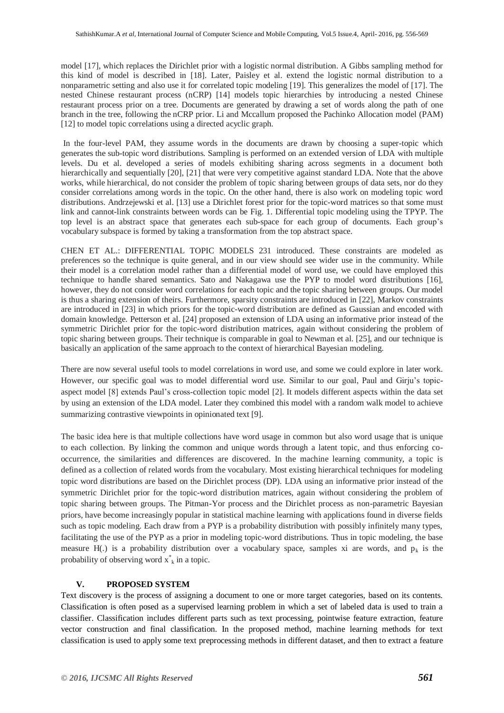model [17], which replaces the Dirichlet prior with a logistic normal distribution. A Gibbs sampling method for this kind of model is described in [18]. Later, Paisley et al. extend the logistic normal distribution to a nonparametric setting and also use it for correlated topic modeling [19]. This generalizes the model of [17]. The nested Chinese restaurant process (nCRP) [14] models topic hierarchies by introducing a nested Chinese restaurant process prior on a tree. Documents are generated by drawing a set of words along the path of one branch in the tree, following the nCRP prior. Li and Mccallum proposed the Pachinko Allocation model (PAM) [12] to model topic correlations using a directed acyclic graph.

In the four-level PAM, they assume words in the documents are drawn by choosing a super-topic which generates the sub-topic word distributions. Sampling is performed on an extended version of LDA with multiple levels. Du et al. developed a series of models exhibiting sharing across segments in a document both hierarchically and sequentially [20], [21] that were very competitive against standard LDA. Note that the above works, while hierarchical, do not consider the problem of topic sharing between groups of data sets, nor do they consider correlations among words in the topic. On the other hand, there is also work on modeling topic word distributions. Andrzejewski et al. [13] use a Dirichlet forest prior for the topic-word matrices so that some must link and cannot-link constraints between words can be Fig. 1. Differential topic modeling using the TPYP. The top level is an abstract space that generates each sub-space for each group of documents. Each group's vocabulary subspace is formed by taking a transformation from the top abstract space.

CHEN ET AL.: DIFFERENTIAL TOPIC MODELS 231 introduced. These constraints are modeled as preferences so the technique is quite general, and in our view should see wider use in the community. While their model is a correlation model rather than a differential model of word use, we could have employed this technique to handle shared semantics. Sato and Nakagawa use the PYP to model word distributions [16], however, they do not consider word correlations for each topic and the topic sharing between groups. Our model is thus a sharing extension of theirs. Furthermore, sparsity constraints are introduced in [22], Markov constraints are introduced in [23] in which priors for the topic-word distribution are defined as Gaussian and encoded with domain knowledge. Petterson et al. [24] proposed an extension of LDA using an informative prior instead of the symmetric Dirichlet prior for the topic-word distribution matrices, again without considering the problem of topic sharing between groups. Their technique is comparable in goal to Newman et al. [25], and our technique is basically an application of the same approach to the context of hierarchical Bayesian modeling.

There are now several useful tools to model correlations in word use, and some we could explore in later work. However, our specific goal was to model differential word use. Similar to our goal, Paul and Girju's topicaspect model [8] extends Paul's cross-collection topic model [2]. It models different aspects within the data set by using an extension of the LDA model. Later they combined this model with a random walk model to achieve summarizing contrastive viewpoints in opinionated text [9].

The basic idea here is that multiple collections have word usage in common but also word usage that is unique to each collection. By linking the common and unique words through a latent topic, and thus enforcing cooccurrence, the similarities and differences are discovered. In the machine learning community, a topic is defined as a collection of related words from the vocabulary. Most existing hierarchical techniques for modeling topic word distributions are based on the Dirichlet process (DP). LDA using an informative prior instead of the symmetric Dirichlet prior for the topic-word distribution matrices, again without considering the problem of topic sharing between groups. The Pitman-Yor process and the Dirichlet process as non-parametric Bayesian priors, have become increasingly popular in statistical machine learning with applications found in diverse fields such as topic modeling. Each draw from a PYP is a probability distribution with possibly infinitely many types, facilitating the use of the PYP as a prior in modeling topic-word distributions. Thus in topic modeling, the base measure H(.) is a probability distribution over a vocabulary space, samples xi are words, and  $p_k$  is the probability of observing word  $x^*_{k}$  in a topic.

# **V. PROPOSED SYSTEM**

Text discovery is the process of assigning a document to one or more target categories, based on its contents. Classification is often posed as a supervised learning problem in which a set of labeled data is used to train a classifier. Classification includes different parts such as text processing, pointwise feature extraction, feature vector construction and final classification. In the proposed method, machine learning methods for text classification is used to apply some text preprocessing methods in different dataset, and then to extract a feature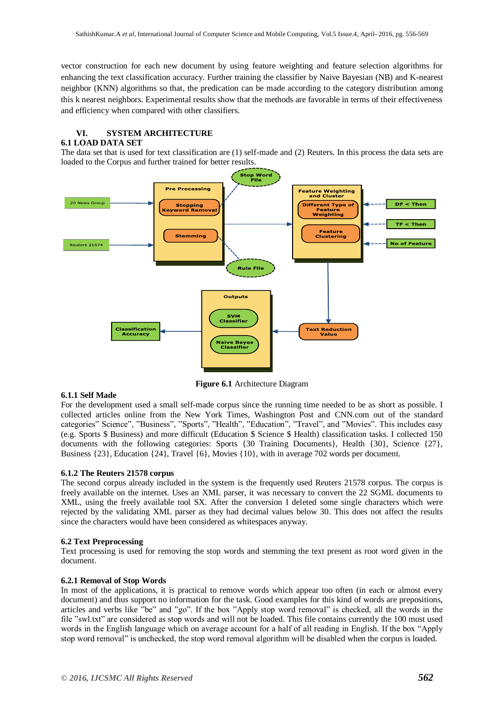vector construction for each new document by using feature weighting and feature selection algorithms for enhancing the text classification accuracy. Further training the classifier by Naive Bayesian (NB) and K-nearest neighbor (KNN) algorithms so that, the predication can be made according to the category distribution among this k nearest neighbors. Experimental results show that the methods are favorable in terms of their effectiveness and efficiency when compared with other classifiers.

# **VI. SYSTEM ARCHITECTURE**

# **6.1 LOAD DATA SET**

The data set that is used for text classification are (1) self-made and (2) Reuters. In this process the data sets are loaded to the Corpus and further trained for better results.



**Figure 6.1** Architecture Diagram

#### **6.1.1 Self Made**

For the development used a small self-made corpus since the running time needed to be as short as possible. I collected articles online from the New York Times, Washington Post and CNN.com out of the standard categories" Science", "Business", "Sports", "Health", "Education", "Travel", and "Movies". This includes easy (e.g. Sports \$ Business) and more difficult (Education \$ Science \$ Health) classification tasks. I collected 150 documents with the following categories: Sports {30 Training Documents}, Health {30}, Science {27}, Business {23}, Education {24}, Travel {6}, Movies {10}, with in average 702 words per document.

#### **6.1.2 The Reuters 21578 corpus**

The second corpus already included in the system is the frequently used Reuters 21578 corpus. The corpus is freely available on the internet. Uses an XML parser, it was necessary to convert the 22 SGML documents to XML, using the freely available tool SX. After the conversion I deleted some single characters which were rejected by the validating XML parser as they had decimal values below 30. This does not affect the results since the characters would have been considered as whitespaces anyway.

#### **6.2 Text Preprocessing**

Text processing is used for removing the stop words and stemming the text present as root word given in the document.

#### **6.2.1 Removal of Stop Words**

In most of the applications, it is practical to remove words which appear too often (in each or almost every document) and thus support no information for the task. Good examples for this kind of words are prepositions, articles and verbs like "be" and "go". If the box "Apply stop word removal" is checked, all the words in the file "swl.txt" are considered as stop words and will not be loaded. This file contains currently the 100 most used words in the English language which on average account for a half of all reading in English. If the box "Apply stop word removal" is unchecked, the stop word removal algorithm will be disabled when the corpus is loaded.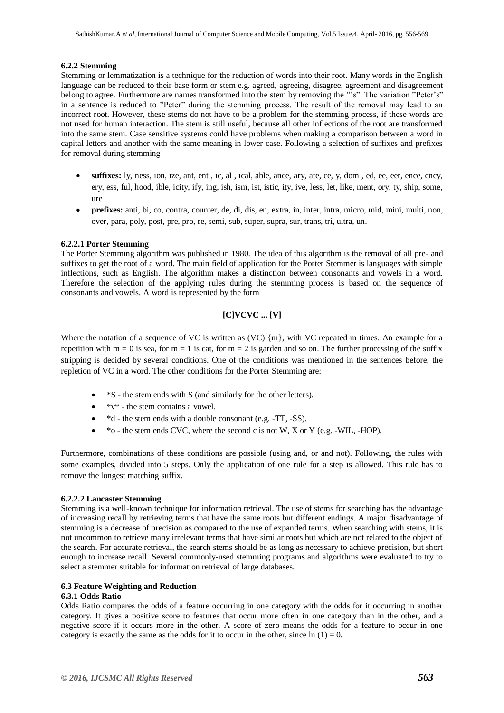#### **6.2.2 Stemming**

Stemming or lemmatization is a technique for the reduction of words into their root. Many words in the English language can be reduced to their base form or stem e.g. agreed, agreeing, disagree, agreement and disagreement belong to agree. Furthermore are names transformed into the stem by removing the "'s". The variation "Peter's" in a sentence is reduced to "Peter" during the stemming process. The result of the removal may lead to an incorrect root. However, these stems do not have to be a problem for the stemming process, if these words are not used for human interaction. The stem is still useful, because all other inflections of the root are transformed into the same stem. Case sensitive systems could have problems when making a comparison between a word in capital letters and another with the same meaning in lower case. Following a selection of suffixes and prefixes for removal during stemming

- **suffixes:** ly, ness, ion, ize, ant, ent , ic, al , ical, able, ance, ary, ate, ce, y, dom , ed, ee, eer, ence, ency, ery, ess, ful, hood, ible, icity, ify, ing, ish, ism, ist, istic, ity, ive, less, let, like, ment, ory, ty, ship, some, ure
- **prefixes:** anti, bi, co, contra, counter, de, di, dis, en, extra, in, inter, intra, micro, mid, mini, multi, non, over, para, poly, post, pre, pro, re, semi, sub, super, supra, sur, trans, tri, ultra, un.

#### **6.2.2.1 Porter Stemming**

The Porter Stemming algorithm was published in 1980. The idea of this algorithm is the removal of all pre- and suffixes to get the root of a word. The main field of application for the Porter Stemmer is languages with simple inflections, such as English. The algorithm makes a distinction between consonants and vowels in a word. Therefore the selection of the applying rules during the stemming process is based on the sequence of consonants and vowels. A word is represented by the form

# **[C]VCVC ... [V]**

Where the notation of a sequence of VC is written as (VC)  $\{m\}$ , with VC repeated m times. An example for a repetition with  $m = 0$  is sea, for  $m = 1$  is cat, for  $m = 2$  is garden and so on. The further processing of the suffix stripping is decided by several conditions. One of the conditions was mentioned in the sentences before, the repletion of VC in a word. The other conditions for the Porter Stemming are:

- \*S the stem ends with S (and similarly for the other letters).
- \*v\* the stem contains a vowel.
- \*d the stem ends with a double consonant (e.g. -TT, -SS).
- \*o the stem ends CVC, where the second c is not W, X or Y (e.g. -WIL, -HOP).

Furthermore, combinations of these conditions are possible (using and, or and not). Following, the rules with some examples, divided into 5 steps. Only the application of one rule for a step is allowed. This rule has to remove the longest matching suffix.

# **6.2.2.2 Lancaster Stemming**

Stemming is a well-known technique for information retrieval. The use of stems for searching has the advantage of increasing recall by retrieving terms that have the same roots but different endings. A major disadvantage of stemming is a decrease of precision as compared to the use of expanded terms. When searching with stems, it is not uncommon to retrieve many irrelevant terms that have similar roots but which are not related to the object of the search. For accurate retrieval, the search stems should be as long as necessary to achieve precision, but short enough to increase recall. Several commonly-used stemming programs and algorithms were evaluated to try to select a stemmer suitable for information retrieval of large databases.

# **6.3 Feature Weighting and Reduction**

# **6.3.1 Odds Ratio**

Odds Ratio compares the odds of a feature occurring in one category with the odds for it occurring in another category. It gives a positive score to features that occur more often in one category than in the other, and a negative score if it occurs more in the other. A score of zero means the odds for a feature to occur in one category is exactly the same as the odds for it to occur in the other, since  $ln(1) = 0$ .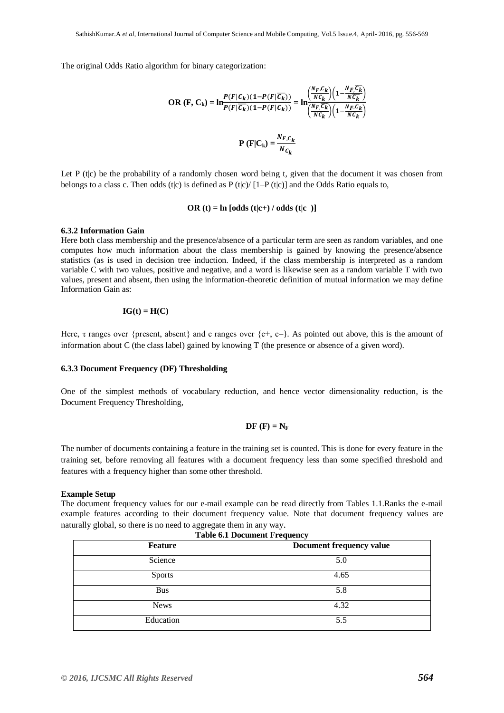The original Odds Ratio algorithm for binary categorization:

OR (F, C<sub>k</sub>) = 
$$
\ln \frac{P(F|C_k)(1 - P(F|\overline{C_k}))}{P(F|\overline{C_k})(1 - P(F|C_k))} = \ln \frac{\left(\frac{N_F, C_k}{N C_k}\right)\left(1 - \frac{N_F, \overline{C_k}}{N \overline{C_k}}\right)}{\left(\frac{N_F, \overline{C_k}}{N \overline{C_k}}\right)\left(1 - \frac{N_F, C_k}{N C_k}\right)}
$$
  

$$
P(F|C_k) = \frac{N_F, C_k}{N}
$$

N

Let P (t|c) be the probability of a randomly chosen word being t, given that the document it was chosen from belongs to a class c. Then odds (t|c) is defined as  $P(t|c)/[1-P(t|c)]$  and the Odds Ratio equals to,

OR (t) = 
$$
\ln
$$
 [odds (t|c+) / odds (t|c )]

#### **6.3.2 Information Gain**

Here both class membership and the presence/absence of a particular term are seen as random variables, and one computes how much information about the class membership is gained by knowing the presence/absence statistics (as is used in decision tree induction. Indeed, if the class membership is interpreted as a random variable C with two values, positive and negative, and a word is likewise seen as a random variable T with two values, present and absent, then using the information-theoretic definition of mutual information we may define Information Gain as:

$$
IG(t) = H(C)
$$

Here,  $\tau$  ranges over {present, absent} and c ranges over {c+, c-}. As pointed out above, this is the amount of information about C (the class label) gained by knowing T (the presence or absence of a given word).

#### **6.3.3 Document Frequency (DF) Thresholding**

One of the simplest methods of vocabulary reduction, and hence vector dimensionality reduction, is the Document Frequency Thresholding,

$$
DF(F) = N_F
$$

The number of documents containing a feature in the training set is counted. This is done for every feature in the training set, before removing all features with a document frequency less than some specified threshold and features with a frequency higher than some other threshold.

#### **Example Setup**

The document frequency values for our e-mail example can be read directly from Tables 1.1.Ranks the e-mail example features according to their document frequency value. Note that document frequency values are naturally global, so there is no need to aggregate them in any way.

| <b>Table 6.1 Document Frequency</b> |                          |  |  |  |  |
|-------------------------------------|--------------------------|--|--|--|--|
| Feature                             | Document frequency value |  |  |  |  |
| Science                             | 5.0                      |  |  |  |  |
| <b>Sports</b>                       | 4.65                     |  |  |  |  |
| <b>Bus</b>                          | 5.8                      |  |  |  |  |
| <b>News</b>                         | 4.32                     |  |  |  |  |
| Education                           | 5.5                      |  |  |  |  |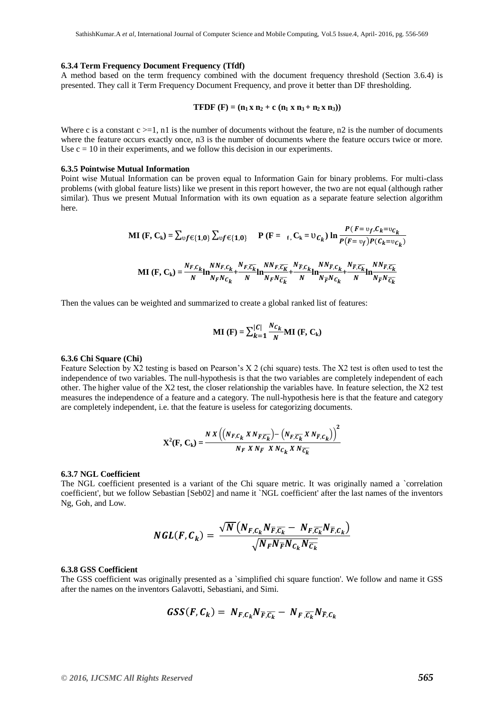# **6.3.4 Term Frequency Document Frequency (Tfdf)**

A method based on the term frequency combined with the document frequency threshold (Section 3.6.4) is presented. They call it Term Frequency Document Frequency, and prove it better than DF thresholding.

**TFDF** (F) = 
$$
(n_1 x n_2 + c (n_1 x n_3 + n_2 x n_3))
$$

Where c is a constant  $c = 1$ , n1 is the number of documents without the feature, n2 is the number of documents where the feature occurs exactly once, n3 is the number of documents where the feature occurs twice or more. Use  $c = 10$  in their experiments, and we follow this decision in our experiments.

#### **6.3.5 Pointwise Mutual Information**

Point wise Mutual Information can be proven equal to Information Gain for binary problems. For multi-class problems (with global feature lists) like we present in this report however, the two are not equal (although rather similar). Thus we present Mutual Information with its own equation as a separate feature selection algorithm here.

MI (F, C<sub>k</sub>) = 
$$
\sum_{v} f \in \{1, 0\}
$$
  $\sum_{v} f \in \{1, 0\}$   $\sum_{v} f \in \{1, 0\}$   $\sum_{v} F(F = r_f, C_k = v_{C_k}) \ln \frac{P(F = v_f, C_k = v_{C_k})}{P(F = v_f)P(C_k = v_{C_k})}$   
\nMI (F, C<sub>k</sub>) =  $\frac{N_{F,C_k}}{N} \ln \frac{N N_{F,C_k}}{N_{F} N_{C_k}} + \frac{N_{F,C_k}}{N} \ln \frac{N N_{F,C_k}}{N_{F} N_{C_k}} + \frac{N_{F,C_k}}{N} \ln \frac{N N_{F,C_k}}{N_{F} N_{C_k}} + \frac{N_{F,C_k}}{N} \ln \frac{N N_{F,C_k}}{N_{F} N_{C_k}}$ 

Then the values can be weighted and summarized to create a global ranked list of features:

**MI** (F) = 
$$
\sum_{k=1}^{|C|} \frac{N c_k}{N}
$$
**MI** (F, C<sub>k</sub>)

#### **6.3.6 Chi Square (Chi)**

Feature Selection by X2 testing is based on Pearson's X 2 (chi square) tests. The X2 test is often used to test the independence of two variables. The null-hypothesis is that the two variables are completely independent of each other. The higher value of the X2 test, the closer relationship the variables have. In feature selection, the X2 test measures the independence of a feature and a category. The null-hypothesis here is that the feature and category are completely independent, i.e. that the feature is useless for categorizing documents.

$$
\mathbf{X}^2(\mathbf{F}, \mathbf{C}_k) = \frac{N X \left( \left( N_{F,C_k} X N_{\overline{F,C_k}} \right) - \left( N_{F,\overline{C_k}} X N_{\overline{F},C_k} \right) \right)^2}{N_F X N_{\overline{F}} X N_{C_k} X N_{\overline{C_k}}}
$$

#### **6.3.7 NGL Coefficient**

The NGL coefficient presented is a variant of the Chi square metric. It was originally named a `correlation coefficient', but we follow Sebastian [Seb02] and name it `NGL coefficient' after the last names of the inventors Ng, Goh, and Low.

$$
NGL(F, C_k) = \frac{\sqrt{N} \left( N_{F, C_k} N_{\overline{F}, \overline{C_k}} - N_{F, \overline{C_k}} N_{\overline{F}, C_k} \right)}{\sqrt{N_F N_{\overline{F}} N_{C_k} N_{\overline{C_k}}}}
$$

#### **6.3.8 GSS Coefficient**

The GSS coefficient was originally presented as a `simplified chi square function'. We follow and name it GSS after the names on the inventors Galavotti, Sebastiani, and Simi.

$$
GSS(F, C_k) = N_{F, C_k} N_{\overline{F}, \overline{C_k}} - N_{F, \overline{C_k}} N_{\overline{F}, C_k}
$$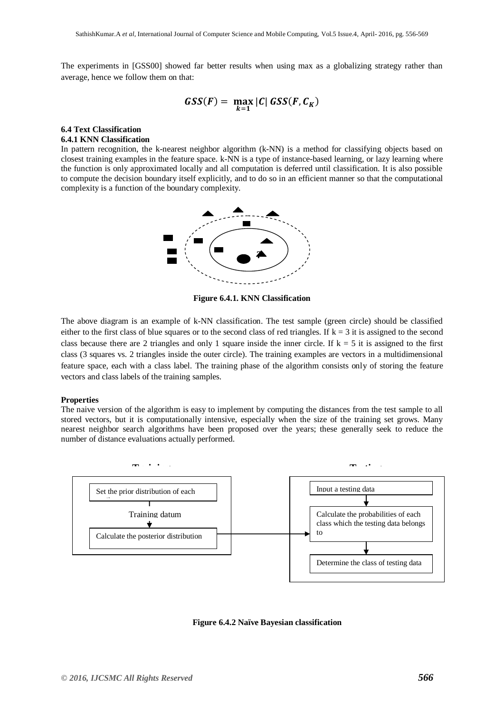The experiments in [GSS00] showed far better results when using max as a globalizing strategy rather than average, hence we follow them on that:

$$
GSS(F) = \max_{k=1} |C| GSS(F, C_K)
$$

#### **6.4 Text Classification 6.4.1 KNN Classification**

In pattern recognition, the k-nearest neighbor algorithm (k-NN) is a method for classifying objects based on closest training examples in the feature space. k-NN is a type of instance-based learning, or lazy learning where the function is only approximated locally and all computation is deferred until classification. It is also possible to compute the decision boundary itself explicitly, and to do so in an efficient manner so that the computational complexity is a function of the boundary complexity.



**Figure 6.4.1. KNN Classification**

The above diagram is an example of k-NN classification. The test sample (green circle) should be classified either to the first class of blue squares or to the second class of red triangles. If  $k = 3$  it is assigned to the second class because there are 2 triangles and only 1 square inside the inner circle. If  $k = 5$  it is assigned to the first class (3 squares vs. 2 triangles inside the outer circle). The training examples are vectors in a multidimensional feature space, each with a class label. The training phase of the algorithm consists only of storing the feature vectors and class labels of the training samples.

#### **Properties**

The naive version of the algorithm is easy to implement by computing the distances from the test sample to all stored vectors, but it is computationally intensive, especially when the size of the training set grows. Many nearest neighbor search algorithms have been proposed over the years; these generally seek to reduce the number of distance evaluations actually performed.



**Figure 6.4.2 Naïve Bayesian classification**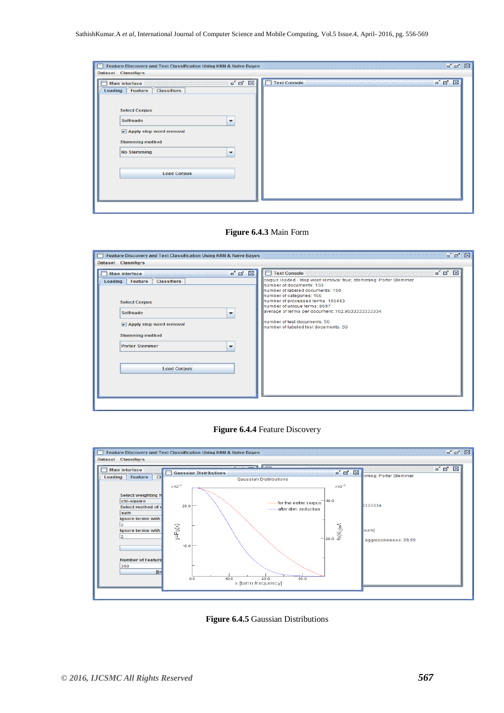| $\Box$<br>区<br>Feature Discovery and Text Classification Using KNN & Naive Bayes<br>Dataset Classifiers                                                                                                                                                                                                                                                                                     |
|---------------------------------------------------------------------------------------------------------------------------------------------------------------------------------------------------------------------------------------------------------------------------------------------------------------------------------------------------------------------------------------------|
| $\Box^c$ $\Box^{\bar{c}}$<br>$\mathbf{u}^{\mathbf{c}}$ $\mathbf{u}^{\mathbf{c}}$<br>区<br>区<br><b>Text Console</b><br>m<br><b>Main Interface</b><br><b>Classifiers</b><br>Feature<br>Loading<br><b>Select Corpus</b><br><b>Selfmade</b><br>$\overline{\phantom{a}}$<br>Apply stop word removal<br><b>Stemming method</b><br><b>No Stemming</b><br>$\blacktriangledown$<br><b>Load Corpus</b> |



| o ø<br>⊠<br>Feature Discovery and Text Classification Using KNN & Naive Bayes<br><b>Dataset Classifiers</b>                                                                                                                                                                                                                                                                                                                                                                                                                                                                                                                                                                                                                                                    |
|----------------------------------------------------------------------------------------------------------------------------------------------------------------------------------------------------------------------------------------------------------------------------------------------------------------------------------------------------------------------------------------------------------------------------------------------------------------------------------------------------------------------------------------------------------------------------------------------------------------------------------------------------------------------------------------------------------------------------------------------------------------|
| ≖" ⊠` ⊠<br>$\mathbf{a}^{\mathbf{c}}$ $\mathbf{a}^{\mathbf{c}}$<br><b>Text Console</b><br>区<br><b>Main Interface</b><br>corpus loaded - stop word removal: true; stemming: Porter Stemmer<br>Feature<br><b>Classifiers</b><br>Loading<br>number of documents: 150<br>Inumber of labeled documents: 150<br>number of categories: 150<br>number of processed terms: 105443<br><b>Select Corpus</b><br>number of unique terms: 8697<br>average of terms per document: 702.95333333333334<br><b>Selfmade</b><br>$\overline{\phantom{0}}$<br>Inumber of test documents: 50<br>$\triangleright$ Apply stop word removal<br>Inumber of labeled test documents: 50<br><b>Stemming method</b><br><b>Porter Stemmer</b><br>$\overline{\phantom{a}}$<br><b>Load Corpus</b> |

**Figure 6.4.4** Feature Discovery





J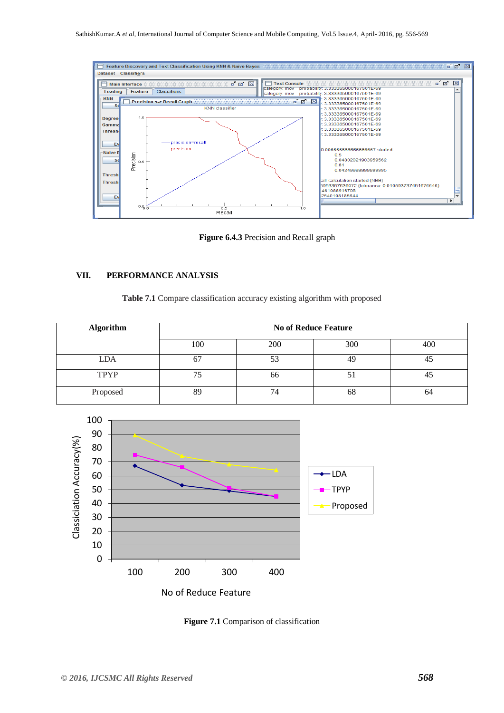

**Figure 6.4.3** Precision and Recall graph

# **VII. PERFORMANCE ANALYSIS**

|  | Table 7.1 Compare classification accuracy existing algorithm with proposed |  |  |  |
|--|----------------------------------------------------------------------------|--|--|--|
|  |                                                                            |  |  |  |

| <b>Algorithm</b> |     | <b>No of Reduce Feature</b> |     |     |  |  |  |
|------------------|-----|-----------------------------|-----|-----|--|--|--|
|                  | 100 | 200                         | 300 | 400 |  |  |  |
| LDA              |     | 53                          | 49  |     |  |  |  |
| <b>TPYP</b>      |     | 66                          | ر ر |     |  |  |  |
| Proposed         | 89  | 74                          | 68  | 64  |  |  |  |



**Figure 7.1** Comparison of classification